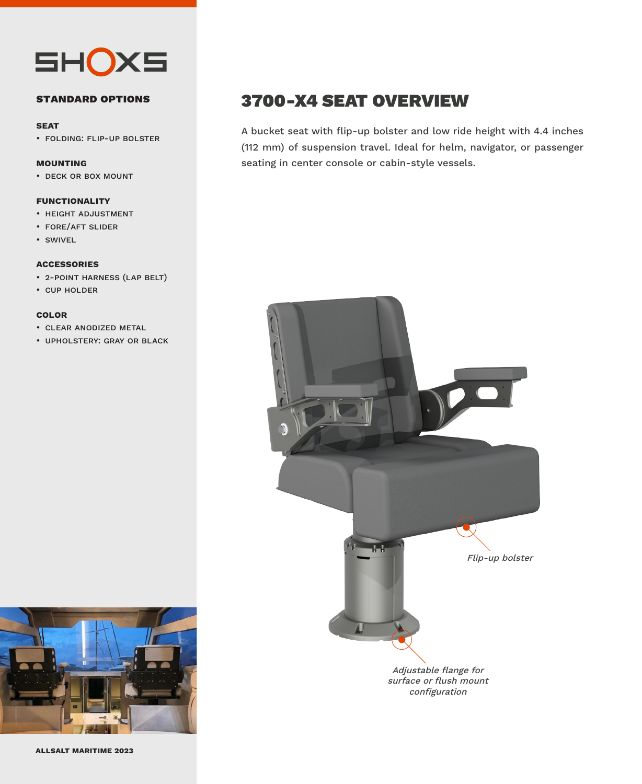

# **standard options**

#### **seat**

• folding: flip-up bolster

## **mounting**

• deck or box mount

# **functionality**

- height adjustment
- fore/aft slider
- swivel

#### **accessories**

- 2-point harness (lap belt)
- cup holder

## **color**

- clear anodized metal
- upholstery: gray or black



A bucket seat with flip-up bolster and low ride height with 4.4 inches (112 mm) of suspension travel. Ideal for helm, navigator, or passenger seating in center console or cabin-style vessels.





**allsalt maritime 2023**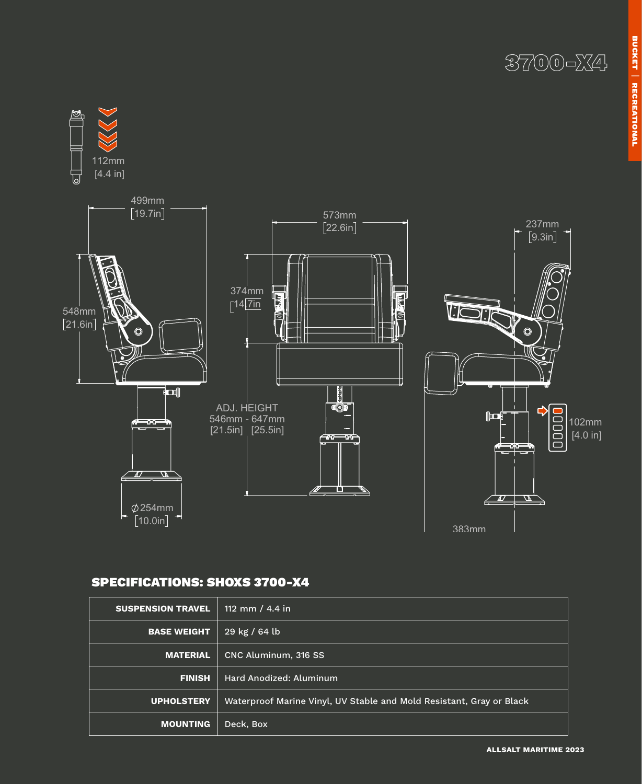3700-X4



# SPECIFICATIONS: SHOXS 3700-X4

| <b>SUSPENSION TRAVEL</b> | 112 mm / 4.4 in                                                      |  |  |
|--------------------------|----------------------------------------------------------------------|--|--|
| <b>BASE WEIGHT</b>       | $29$ kg / 64 lb                                                      |  |  |
| <b>MATERIAL</b>          | CNC Aluminum, 316 SS                                                 |  |  |
| <b>FINISH</b>            | Hard Anodized: Aluminum                                              |  |  |
| <b>UPHOLSTERY</b>        | Waterproof Marine Vinyl, UV Stable and Mold Resistant, Gray or Black |  |  |
| <b>MOUNTING</b>          | Deck, Box                                                            |  |  |

**allsalt maritime 2023**